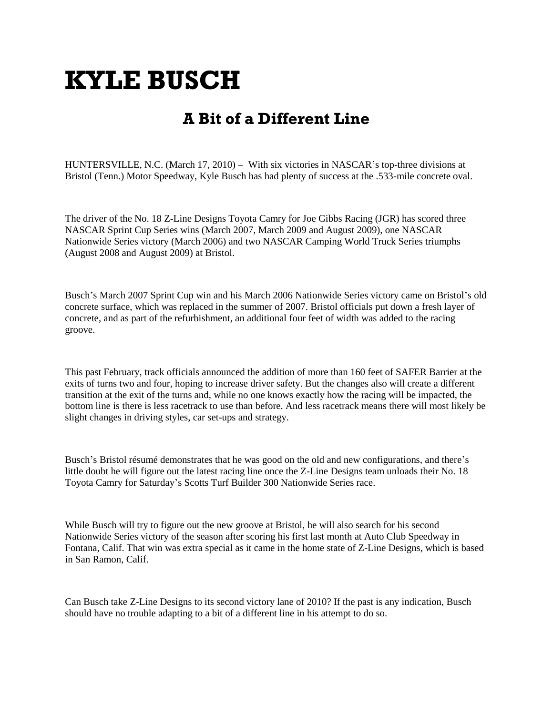# **KYLE BUSCH**

# **A Bit of a Different Line**

HUNTERSVILLE, N.C. (March 17, 2010) – With six victories in NASCAR's top-three divisions at Bristol (Tenn.) Motor Speedway, Kyle Busch has had plenty of success at the .533-mile concrete oval.

The driver of the No. 18 Z-Line Designs Toyota Camry for Joe Gibbs Racing (JGR) has scored three NASCAR Sprint Cup Series wins (March 2007, March 2009 and August 2009), one NASCAR Nationwide Series victory (March 2006) and two NASCAR Camping World Truck Series triumphs (August 2008 and August 2009) at Bristol.

Busch's March 2007 Sprint Cup win and his March 2006 Nationwide Series victory came on Bristol's old concrete surface, which was replaced in the summer of 2007. Bristol officials put down a fresh layer of concrete, and as part of the refurbishment, an additional four feet of width was added to the racing groove.

This past February, track officials announced the addition of more than 160 feet of SAFER Barrier at the exits of turns two and four, hoping to increase driver safety. But the changes also will create a different transition at the exit of the turns and, while no one knows exactly how the racing will be impacted, the bottom line is there is less racetrack to use than before. And less racetrack means there will most likely be slight changes in driving styles, car set-ups and strategy.

Busch's Bristol résumé demonstrates that he was good on the old and new configurations, and there's little doubt he will figure out the latest racing line once the Z-Line Designs team unloads their No. 18 Toyota Camry for Saturday's Scotts Turf Builder 300 Nationwide Series race.

While Busch will try to figure out the new groove at Bristol, he will also search for his second Nationwide Series victory of the season after scoring his first last month at Auto Club Speedway in Fontana, Calif. That win was extra special as it came in the home state of Z-Line Designs, which is based in San Ramon, Calif.

Can Busch take Z-Line Designs to its second victory lane of 2010? If the past is any indication, Busch should have no trouble adapting to a bit of a different line in his attempt to do so.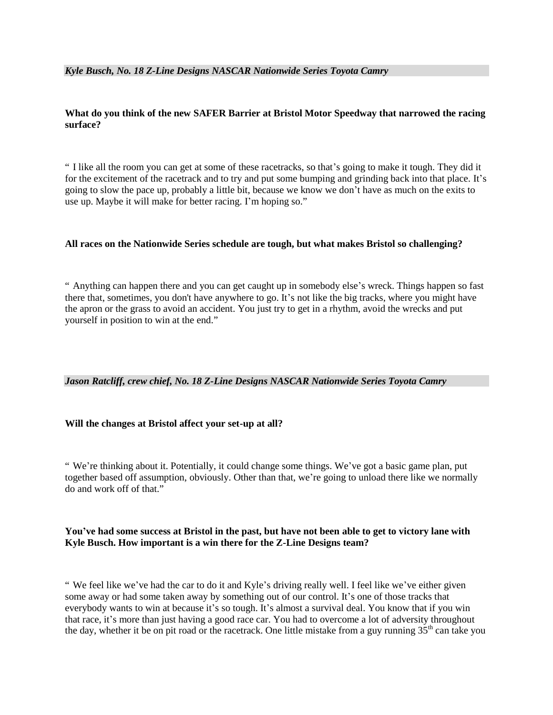## **What do you think of the new SAFER Barrier at Bristol Motor Speedway that narrowed the racing surface?**

" I like all the room you can get at some of these racetracks, so that's going to make it tough. They did it for the excitement of the racetrack and to try and put some bumping and grinding back into that place. It's going to slow the pace up, probably a little bit, because we know we don't have as much on the exits to use up. Maybe it will make for better racing. I'm hoping so."

### **All races on the Nationwide Series schedule are tough, but what makes Bristol so challenging?**

" Anything can happen there and you can get caught up in somebody else's wreck. Things happen so fast there that, sometimes, you don't have anywhere to go. It's not like the big tracks, where you might have the apron or the grass to avoid an accident. You just try to get in a rhythm, avoid the wrecks and put yourself in position to win at the end."

### *Jason Ratcliff, crew chief, No. 18 Z-Line Designs NASCAR Nationwide Series Toyota Camry*

### **Will the changes at Bristol affect your set-up at all?**

" We're thinking about it. Potentially, it could change some things. We've got a basic game plan, put together based off assumption, obviously. Other than that, we're going to unload there like we normally do and work off of that."

### **You've had some success at Bristol in the past, but have not been able to get to victory lane with Kyle Busch. How important is a win there for the Z-Line Designs team?**

" We feel like we've had the car to do it and Kyle's driving really well. I feel like we've either given some away or had some taken away by something out of our control. It's one of those tracks that everybody wants to win at because it's so tough. It's almost a survival deal. You know that if you win that race, it's more than just having a good race car. You had to overcome a lot of adversity throughout the day, whether it be on pit road or the racetrack. One little mistake from a guy running  $35<sup>th</sup>$  can take you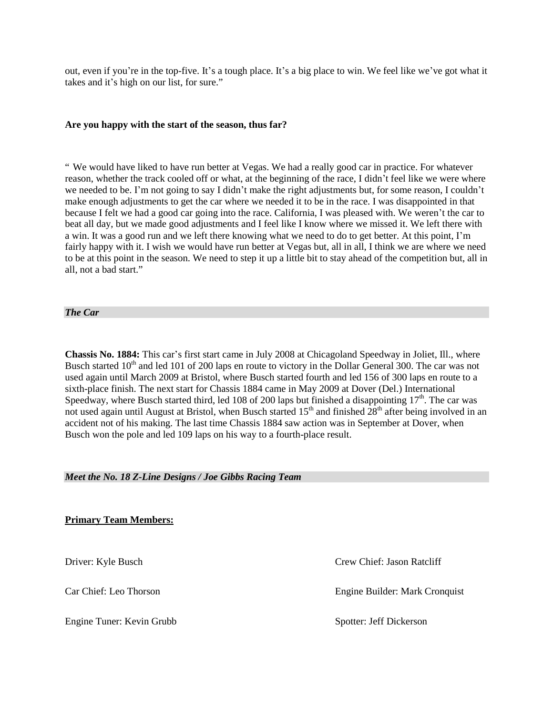out, even if you're in the top-five. It's a tough place. It's a big place to win. We feel like we've got what it takes and it's high on our list, for sure."

#### **Are you happy with the start of the season, thus far?**

" We would have liked to have run better at Vegas. We had a really good car in practice. For whatever reason, whether the track cooled off or what, at the beginning of the race, I didn't feel like we were where we needed to be. I'm not going to say I didn't make the right adjustments but, for some reason, I couldn't make enough adjustments to get the car where we needed it to be in the race. I was disappointed in that because I felt we had a good car going into the race. California, I was pleased with. We weren't the car to beat all day, but we made good adjustments and I feel like I know where we missed it. We left there with a win. It was a good run and we left there knowing what we need to do to get better. At this point, I'm fairly happy with it. I wish we would have run better at Vegas but, all in all, I think we are where we need to be at this point in the season. We need to step it up a little bit to stay ahead of the competition but, all in all, not a bad start."

*The Car*

**Chassis No. 1884:** This car's first start came in July 2008 at Chicagoland Speedway in Joliet, Ill., where Busch started 10<sup>th</sup> and led 101 of 200 laps en route to victory in the Dollar General 300. The car was not used again until March 2009 at Bristol, where Busch started fourth and led 156 of 300 laps en route to a sixth-place finish. The next start for Chassis 1884 came in May 2009 at Dover (Del.) International Speedway, where Busch started third, led 108 of 200 laps but finished a disappointing  $17<sup>th</sup>$ . The car was not used again until August at Bristol, when Busch started  $15<sup>th</sup>$  and finished  $28<sup>th</sup>$  after being involved in an accident not of his making. The last time Chassis 1884 saw action was in September at Dover, when Busch won the pole and led 109 laps on his way to a fourth-place result.

#### *Meet the No. 18 Z-Line Designs / Joe Gibbs Racing Team*

**Primary Team Members:**

Engine Tuner: Kevin Grubb Spotter: Jeff Dickerson

Driver: Kyle Busch Crew Chief: Jason Ratcliff

Car Chief: Leo Thorson Engine Builder: Mark Cronquist